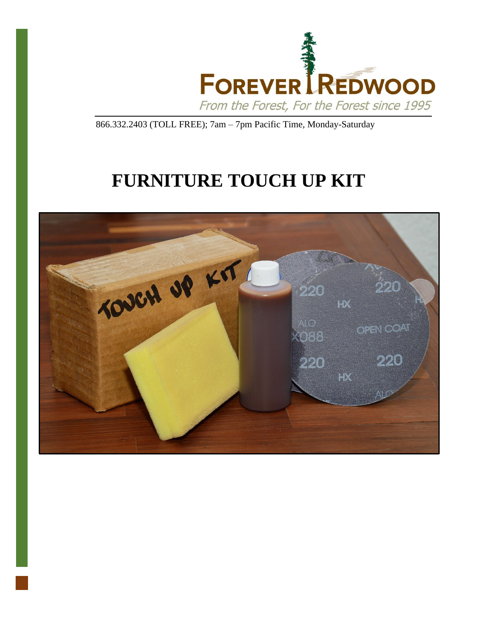

866.332.2403 (TOLL FREE); 7am – 7pm Pacific Time, Monday-Saturday

# **FURNITURE TOUCH UP KIT**

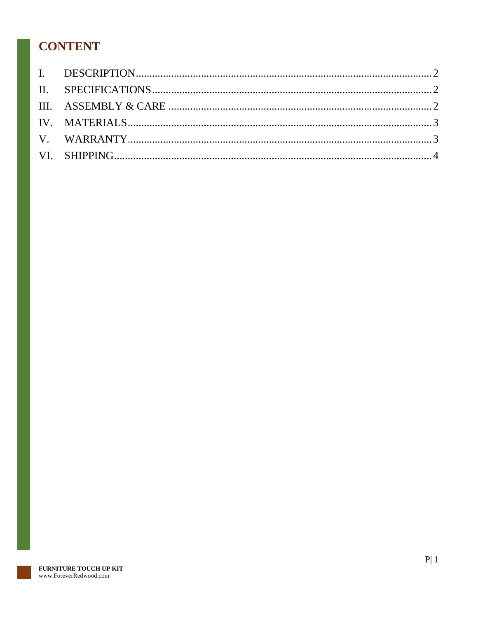## **CONTENT**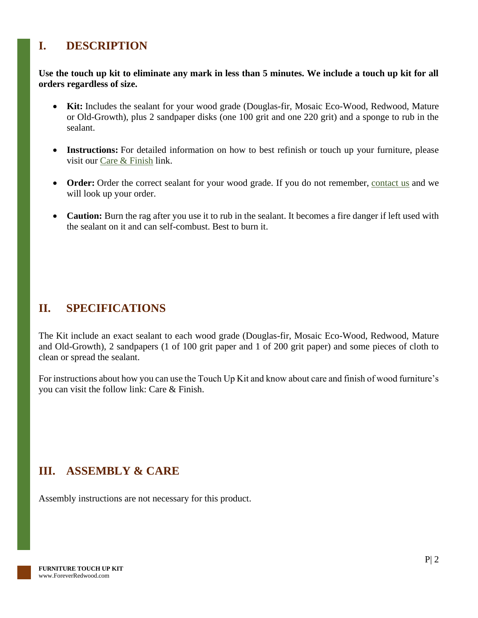### <span id="page-2-0"></span>**I. DESCRIPTION**

#### **Use the touch up kit to eliminate any mark in less than 5 minutes. We include a touch up kit for all orders regardless of size.**

- **Kit:** Includes the sealant for your wood grade (Douglas-fir, Mosaic Eco-Wood, Redwood, Mature or Old-Growth), plus 2 sandpaper disks (one 100 grit and one 220 grit) and a sponge to rub in the sealant.
- **Instructions:** For detailed information on how to best refinish or touch up your furniture, please visit our [Care & Finish](https://www.foreverredwood.com/redwood-furniture/care-finish/) link.
- **Order:** Order the correct sealant for your wood grade. If you do not remember, [contact us](https://www.foreverredwood.com/information/contact) and we will look up your order.
- **Caution:** Burn the rag after you use it to rub in the sealant. It becomes a fire danger if left used with the sealant on it and can self-combust. Best to burn it.

#### <span id="page-2-1"></span>**II. SPECIFICATIONS**

The Kit include an exact sealant to each wood grade (Douglas-fir, Mosaic Eco-Wood, Redwood, Mature and Old-Growth), 2 sandpapers (1 of 100 grit paper and 1 of 200 grit paper) and some pieces of cloth to clean or spread the sealant.

For instructions about how you can use the Touch Up Kit and know about care and finish of wood furniture's you can visit the follow link: Care & Finish.

### <span id="page-2-2"></span>**III. ASSEMBLY & CARE**

Assembly instructions are not necessary for this product.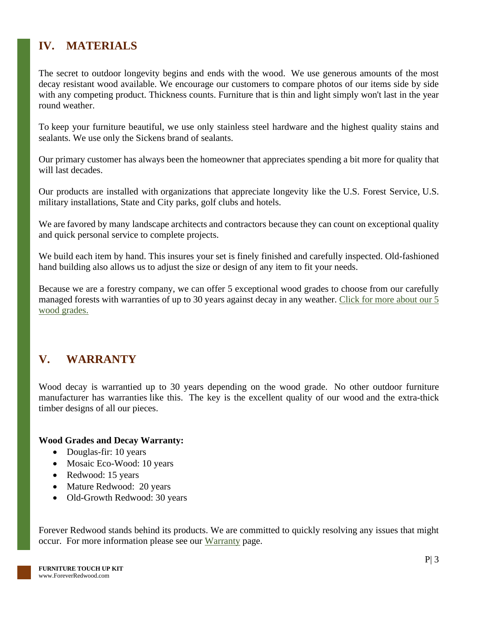### <span id="page-3-0"></span>**IV. MATERIALS**

The secret to outdoor longevity begins and ends with the wood. We use generous amounts of the most decay resistant wood available. We encourage our customers to compare photos of our items side by side with any competing product. Thickness counts. Furniture that is thin and light simply won't last in the year round weather.

To keep your furniture beautiful, we use only stainless steel hardware and the highest quality stains and sealants. We use only the Sickens brand of sealants.

Our primary customer has always been the homeowner that appreciates spending a bit more for quality that will last decades.

Our products are installed with organizations that appreciate longevity like the U.S. Forest Service, U.S. military installations, State and City parks, golf clubs and hotels.

We are favored by many landscape architects and contractors because they can count on exceptional quality and quick personal service to complete projects.

We build each item by hand. This insures your set is finely finished and carefully inspected. Old-fashioned hand building also allows us to adjust the size or design of any item to fit your needs.

Because we are a forestry company, we can offer 5 exceptional wood grades to choose from our carefully managed forests with warranties of up to 30 years against decay in any weather. Click for more about our 5 [wood grades.](https://www.foreverredwood.com/redwood-furniture/wood-grade/)

### <span id="page-3-1"></span>**V. WARRANTY**

Wood decay is warrantied up to 30 years depending on the wood grade. No other outdoor furniture manufacturer has warranties like this. The key is the excellent quality of our wood and the extra-thick timber designs of all our pieces.

#### **Wood Grades and Decay Warranty:**

- Douglas-fir: 10 years
- Mosaic Eco-Wood: 10 years
- Redwood: 15 years
- Mature Redwood: 20 years
- Old-Growth Redwood: 30 years

Forever Redwood stands behind its products. We are committed to quickly resolving any issues that might occur. For more information please see our [Warranty](https://www.foreverredwood.com/redwood-furniture/warranty) page.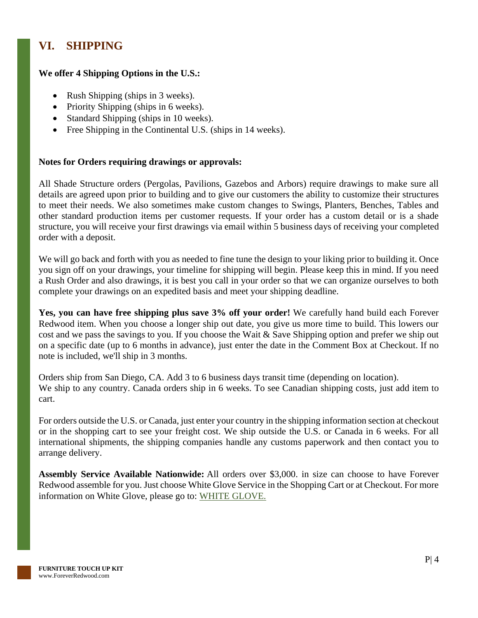### <span id="page-4-0"></span>**VI. SHIPPING**

#### **We offer 4 Shipping Options in the U.S.:**

- Rush Shipping (ships in 3 weeks).
- Priority Shipping (ships in 6 weeks).
- Standard Shipping (ships in 10 weeks).
- Free Shipping in the Continental U.S. (ships in 14 weeks).

#### **Notes for Orders requiring drawings or approvals:**

All Shade Structure orders (Pergolas, Pavilions, Gazebos and Arbors) require drawings to make sure all details are agreed upon prior to building and to give our customers the ability to customize their structures to meet their needs. We also sometimes make custom changes to Swings, Planters, Benches, Tables and other standard production items per customer requests. If your order has a custom detail or is a shade structure, you will receive your first drawings via email within 5 business days of receiving your completed order with a deposit.

We will go back and forth with you as needed to fine tune the design to your liking prior to building it. Once you sign off on your drawings, your timeline for shipping will begin. Please keep this in mind. If you need a Rush Order and also drawings, it is best you call in your order so that we can organize ourselves to both complete your drawings on an expedited basis and meet your shipping deadline.

**Yes, you can have free shipping plus save 3% off your order!** We carefully hand build each Forever Redwood item. When you choose a longer ship out date, you give us more time to build. This lowers our cost and we pass the savings to you. If you choose the Wait & Save Shipping option and prefer we ship out on a specific date (up to 6 months in advance), just enter the date in the Comment Box at Checkout. If no note is included, we'll ship in 3 months.

Orders ship from San Diego, CA. Add 3 to 6 business days transit time (depending on location). We ship to any country. Canada orders ship in 6 weeks. To see Canadian shipping costs, just add item to cart.

For orders outside the U.S. or Canada, just enter your country in the shipping information section at checkout or in the shopping cart to see your freight cost. We ship outside the U.S. or Canada in 6 weeks. For all international shipments, the shipping companies handle any customs paperwork and then contact you to arrange delivery.

**Assembly Service Available Nationwide:** All orders over \$3,000. in size can choose to have Forever Redwood assemble for you. Just choose White Glove Service in the Shopping Cart or at Checkout. For more information on White Glove, please go to: [WHITE GLOVE.](https://www.foreverredwood.com/white-glove/)